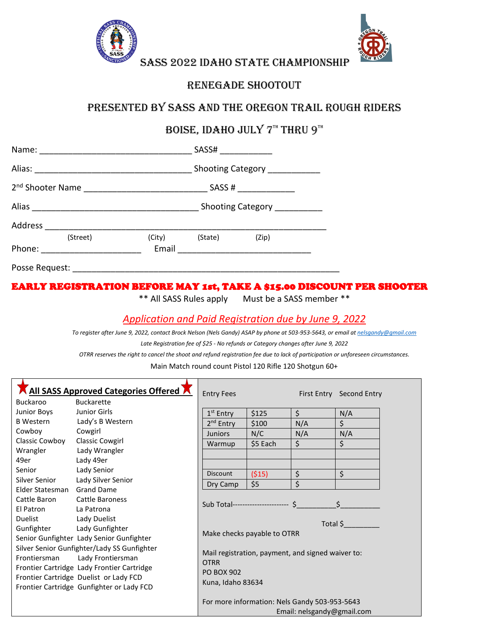



SASS 2022 IDAHO STATE CHAMPIONSHIP

## Renegade shootout

# Presented by SASS and THE OREGON TRAIL ROUGH RIDERS

# BOISE, IDAHO JULY  $7^{\scriptscriptstyle \text{TH}}$  THRU  $9^{\scriptscriptstyle \text{TH}}$

|        |                                                           |                 | SASSH                        |                               |  |  |
|--------|-----------------------------------------------------------|-----------------|------------------------------|-------------------------------|--|--|
|        |                                                           |                 |                              | Shooting Category ___________ |  |  |
|        | 2 <sup>nd</sup> Shooter Name ____________________________ |                 | SASS # $\frac{1}{2}$         |                               |  |  |
|        |                                                           |                 | Shooting Category __________ |                               |  |  |
|        | Address _________________________                         |                 |                              |                               |  |  |
| Phone: | (Street)                                                  | (City)<br>Email | (State)                      | (Zip)                         |  |  |
|        | Posse Request: ________________                           |                 |                              |                               |  |  |

### EARLY REGISTRATION BEFORE MAY 1st, TAKE A \$15.00 DISCOUNT PER SHOOTER

\*\* All SASS Rules apply Must be a SASS member \*\*

### *Application and Paid Registration due by June 9, 2022*

*To register after June 9, 2022, contact Brock Nelson (Nels Gandy) ASAP by phone at 503-953-5643, or email a[t nelsgandy@gmail.com](mailto:nelsgandy@gmail.com) Late Registration fee of \$25 - No refunds or Category changes after June 9, 2022*

*OTRR reserves the right to cancel the shoot and refund registration fee due to lack of participation or unforeseen circumstances.*

Main Match round count Pistol 120 Rifle 120 Shotgun 60+

| <b>All SASS Approved Categories Offered A</b> | <b>Entry Fees</b>                             |                                                   |                                     | First Entry Second Entry |     |  |  |
|-----------------------------------------------|-----------------------------------------------|---------------------------------------------------|-------------------------------------|--------------------------|-----|--|--|
| <b>Buckaroo</b>                               | <b>Buckarette</b>                             |                                                   |                                     |                          |     |  |  |
| <b>Junior Boys</b>                            | Junior Girls                                  | $1st$ Entry                                       | \$125                               | \$                       | N/A |  |  |
| <b>B</b> Western                              | Lady's B Western                              | 2 <sup>nd</sup> Entry                             | \$100                               | N/A                      | \$  |  |  |
| Cowboy                                        | Cowgirl                                       | <b>Juniors</b>                                    | N/C                                 | N/A                      | N/A |  |  |
| Classic Cowboy                                | <b>Classic Cowgirl</b>                        | Warmup                                            | \$5 Each                            | \$                       | \$  |  |  |
| Wrangler                                      | Lady Wrangler                                 |                                                   |                                     |                          |     |  |  |
| 49er                                          | Lady 49er                                     |                                                   |                                     |                          |     |  |  |
| Senior                                        | Lady Senior                                   | Discount                                          | (515)                               | \$                       | \$  |  |  |
| Silver Senior                                 | Lady Silver Senior                            | Dry Camp                                          | \$5                                 | \$                       |     |  |  |
| Elder Statesman                               | <b>Grand Dame</b>                             |                                                   |                                     |                          |     |  |  |
| Cattle Baron                                  | <b>Cattle Baroness</b>                        |                                                   | Sub Total----------------------- \$ |                          |     |  |  |
| El Patron                                     | La Patrona                                    |                                                   |                                     |                          |     |  |  |
| Duelist                                       | Lady Duelist<br>Lady Gunfighter               |                                                   | Total \$                            |                          |     |  |  |
| Gunfighter                                    |                                               |                                                   |                                     |                          |     |  |  |
| Senior Gunfighter Lady Senior Gunfighter      |                                               | Make checks payable to OTRR                       |                                     |                          |     |  |  |
|                                               | Silver Senior Gunfighter/Lady SS Gunfighter   |                                                   |                                     |                          |     |  |  |
| Frontiersman<br>Lady Frontiersman             |                                               | Mail registration, payment, and signed waiver to: |                                     |                          |     |  |  |
| Frontier Cartridge Lady Frontier Cartridge    |                                               | <b>OTRR</b>                                       |                                     |                          |     |  |  |
| Frontier Cartridge Duelist or Lady FCD        |                                               | <b>PO BOX 902</b>                                 |                                     |                          |     |  |  |
| Frontier Cartridge Gunfighter or Lady FCD     | Kuna, Idaho 83634                             |                                                   |                                     |                          |     |  |  |
|                                               | For more information: Nels Gandy 503-953-5643 |                                                   |                                     |                          |     |  |  |
|                                               | Email: nelsgandy@gmail.com                    |                                                   |                                     |                          |     |  |  |